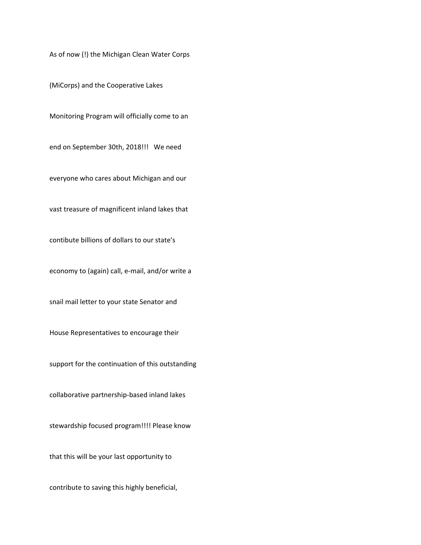As of now (!) the Michigan Clean Water Corps

(MiCorps) and the Cooperative Lakes

Monitoring Program will officially come to an

end on September 30th, 2018!!! We need

everyone who cares about Michigan and our

vast treasure of magnificent inland lakes that

contibute billions of dollars to our state's

economy to (again) call, e‐mail, and/or write a

snail mail letter to your state Senator and

House Representatives to encourage their

support for the continuation of this outstanding

collaborative partnership‐based inland lakes

stewardship focused program!!!! Please know

that this will be your last opportunity to

contribute to saving this highly beneficial,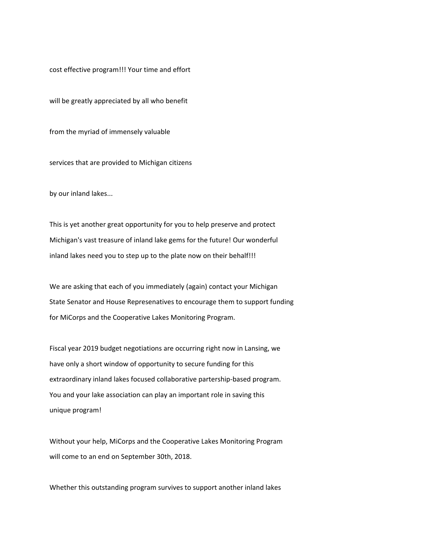cost effective program!!! Your time and effort

will be greatly appreciated by all who benefit

from the myriad of immensely valuable

services that are provided to Michigan citizens

by our inland lakes...

This is yet another great opportunity for you to help preserve and protect Michigan's vast treasure of inland lake gems for the future! Our wonderful inland lakes need you to step up to the plate now on their behalf!!!

We are asking that each of you immediately (again) contact your Michigan State Senator and House Represenatives to encourage them to support funding for MiCorps and the Cooperative Lakes Monitoring Program.

Fiscal year 2019 budget negotiations are occurring right now in Lansing, we have only a short window of opportunity to secure funding for this extraordinary inland lakes focused collaborative partership‐based program. You and your lake association can play an important role in saving this unique program!

Without your help, MiCorps and the Cooperative Lakes Monitoring Program will come to an end on September 30th, 2018.

Whether this outstanding program survives to support another inland lakes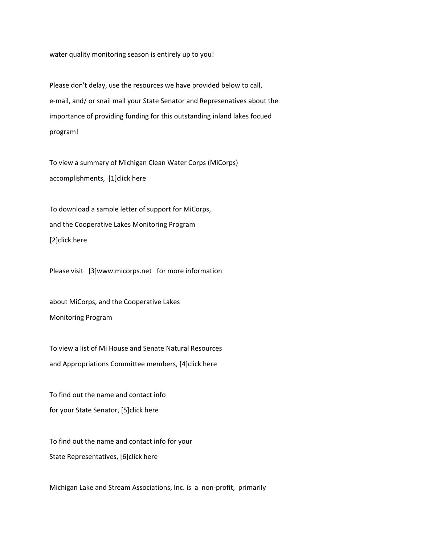water quality monitoring season is entirely up to you!

Please don't delay, use the resources we have provided below to call, e-mail, and/ or snail mail your State Senator and Represenatives about the importance of providing funding for this outstanding inland lakes focued program!

To view a summary of Michigan Clean Water Corps (MiCorps) accomplishments, [1]click here

To download a sample letter of support for MiCorps, and the Cooperative Lakes Monitoring Program [2]click here

Please visit [3]www.micorps.net for more information

about MiCorps, and the Cooperative Lakes Monitoring Program

To view a list of Mi House and Senate Natural Resources and Appropriations Committee members, [4]click here

To find out the name and contact info for your State Senator, [5]click here

To find out the name and contact info for your State Representatives, [6]click here

Michigan Lake and Stream Associations, Inc. is a non‐profit, primarily